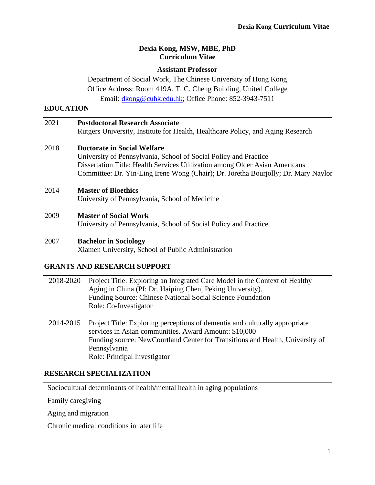### **Dexia Kong, MSW, MBE, PhD Curriculum Vitae**

## **Assistant Professor**

Department of Social Work, The Chinese University of Hong Kong Office Address: Room 419A, T. C. Cheng Building, United College Email: [dkong@cuhk.edu.hk;](mailto:dkong@cuhk.edu.hk) Office Phone: 852-3943-7511

### **EDUCATION**

| 2021 | <b>Postdoctoral Research Associate</b>                                             |  |  |
|------|------------------------------------------------------------------------------------|--|--|
|      | Rutgers University, Institute for Health, Healthcare Policy, and Aging Research    |  |  |
| 2018 | <b>Doctorate in Social Welfare</b>                                                 |  |  |
|      | University of Pennsylvania, School of Social Policy and Practice                   |  |  |
|      | Dissertation Title: Health Services Utilization among Older Asian Americans        |  |  |
|      | Committee: Dr. Yin-Ling Irene Wong (Chair); Dr. Joretha Bourjolly; Dr. Mary Naylor |  |  |
| 2014 | <b>Master of Bioethics</b>                                                         |  |  |
|      | University of Pennsylvania, School of Medicine                                     |  |  |
| 2009 | <b>Master of Social Work</b>                                                       |  |  |
|      | University of Pennsylvania, School of Social Policy and Practice                   |  |  |
| 2007 | <b>Bachelor in Sociology</b>                                                       |  |  |
|      | Xiamen University, School of Public Administration                                 |  |  |

### **GRANTS AND RESEARCH SUPPORT**

| 2018-2020 | Project Title: Exploring an Integrated Care Model in the Context of Healthy<br>Aging in China (PI: Dr. Haiping Chen, Peking University).<br>Funding Source: Chinese National Social Science Foundation<br>Role: Co-Investigator       |
|-----------|---------------------------------------------------------------------------------------------------------------------------------------------------------------------------------------------------------------------------------------|
| 2014-2015 | Project Title: Exploring perceptions of dementia and culturally appropriate<br>services in Asian communities. Award Amount: \$10,000<br>Funding source: NewCourtland Center for Transitions and Health, University of<br>Pennsylvania |

## **RESEARCH SPECIALIZATION**

Sociocultural determinants of health/mental health in aging populations

Role: Principal Investigator

Family caregiving

Aging and migration

Chronic medical conditions in later life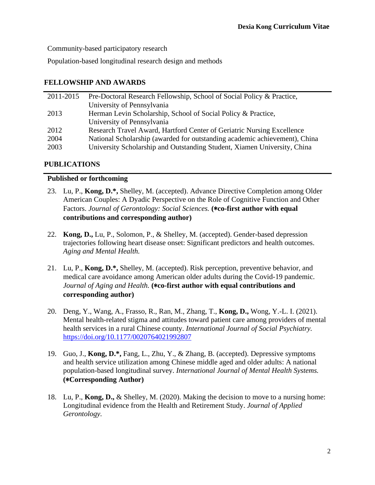Community-based participatory research

Population-based longitudinal research design and methods

## **FELLOWSHIP AND AWARDS**

| 2011-2015 | Pre-Doctoral Research Fellowship, School of Social Policy & Practice,      |
|-----------|----------------------------------------------------------------------------|
|           | University of Pennsylvania                                                 |
| 2013      | Herman Levin Scholarship, School of Social Policy & Practice,              |
|           | University of Pennsylvania                                                 |
| 2012      | Research Travel Award, Hartford Center of Geriatric Nursing Excellence     |
| 2004      | National Scholarship (awarded for outstanding academic achievement), China |
| 2003      | University Scholarship and Outstanding Student, Xiamen University, China   |
|           |                                                                            |

## **PUBLICATIONS**

## **Published or forthcoming**

- 23. Lu, P., **Kong, D.\*,** Shelley, M. (accepted). Advance Directive Completion among Older American Couples: A Dyadic Perspective on the Role of Cognitive Function and Other Factors. *Journal of Gerontology: Social Sciences.* **(**\***co-first author with equal contributions and corresponding author)**
- 22. **Kong, D.,** Lu, P., Solomon, P., & Shelley, M. (accepted). Gender-based depression trajectories following heart disease onset: Significant predictors and health outcomes. *Aging and Mental Health.*
- 21. Lu, P., **Kong, D.\*,** Shelley, M. (accepted). Risk perception, preventive behavior, and medical care avoidance among American older adults during the Covid-19 pandemic. *Journal of Aging and Health.* **(**\***co-first author with equal contributions and corresponding author)**
- 20. Deng, Y., Wang, A., Frasso, R., Ran, M., Zhang, T., **Kong, D.,** Wong, Y.-L. I. (2021). Mental health-related stigma and attitudes toward patient care among providers of mental health services in a rural Chinese county. *International Journal of Social Psychiatry.* <https://doi.org/10.1177/0020764021992807>
- 19. Guo, J., **Kong, D.\*,** Fang, L., Zhu, Y., & Zhang, B. (accepted). Depressive symptoms and health service utilization among Chinese middle aged and older adults: A national population-based longitudinal survey. *International Journal of Mental Health Systems.* **(**\***Corresponding Author)**
- 18. Lu, P., **Kong, D.,** & Shelley, M. (2020). Making the decision to move to a nursing home: Longitudinal evidence from the Health and Retirement Study. *Journal of Applied Gerontology.*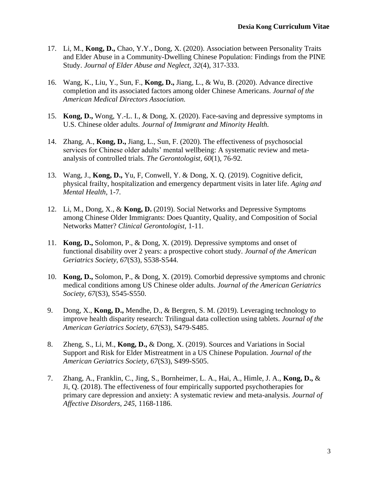- 17. Li, M., **Kong, D.,** Chao, Y.Y., Dong, X. (2020). Association between Personality Traits and Elder Abuse in a Community-Dwelling Chinese Population: Findings from the PINE Study. *Journal of Elder Abuse and Neglect, 32*(4), 317-333.
- 16. Wang, K., Liu, Y., Sun, F., **Kong, D.,** Jiang, L., & Wu, B. (2020). Advance directive completion and its associated factors among older Chinese Americans. *Journal of the American Medical Directors Association.*
- 15. **Kong, D.,** Wong, Y.-L. I., & Dong, X. (2020). Face-saving and depressive symptoms in U.S. Chinese older adults. *Journal of Immigrant and Minority Health.*
- 14. Zhang, A., **Kong, D.,** Jiang, L., Sun, F. (2020). The effectiveness of psychosocial services for Chinese older adults' mental wellbeing: A systematic review and metaanalysis of controlled trials. *The Gerontologist, 60*(1), 76-92*.*
- 13. Wang, J., **Kong, D.,** Yu, F, Conwell, Y. & Dong, X. Q. (2019). Cognitive deficit, physical frailty, hospitalization and emergency department visits in later life. *Aging and Mental Health,* 1-7*.*
- 12. Li, M., Dong, X., & **Kong, D.** (2019). Social Networks and Depressive Symptoms among Chinese Older Immigrants: Does Quantity, Quality, and Composition of Social Networks Matter? *Clinical Gerontologist,* 1-11.
- 11. **Kong, D.,** Solomon, P., & Dong, X. (2019). Depressive symptoms and onset of functional disability over 2 years: a prospective cohort study. *Journal of the American Geriatrics Society, 67*(S3), S538-S544.
- 10. **Kong, D.,** Solomon, P., & Dong, X. (2019). Comorbid depressive symptoms and chronic medical conditions among US Chinese older adults. *Journal of the American Geriatrics Society, 67*(S3), S545-S550.
- 9. Dong, X., **Kong, D.,** Mendhe, D., & Bergren, S. M. (2019). Leveraging technology to improve health disparity research: Trilingual data collection using tablets. *Journal of the American Geriatrics Society, 67*(S3), S479-S485.
- 8. Zheng, S., Li, M., **Kong, D.,** & Dong, X. (2019). Sources and Variations in Social Support and Risk for Elder Mistreatment in a US Chinese Population. *Journal of the American Geriatrics Society, 67*(S3), S499-S505.
- 7. Zhang, A., Franklin, C., Jing, S., Bornheimer, L. A., Hai, A., Himle, J. A., **Kong, D.,** & Ji, Q. (2018). The effectiveness of four empirically supported psychotherapies for primary care depression and anxiety: A systematic review and meta-analysis. *Journal of Affective Disorders, 245,* 1168-1186.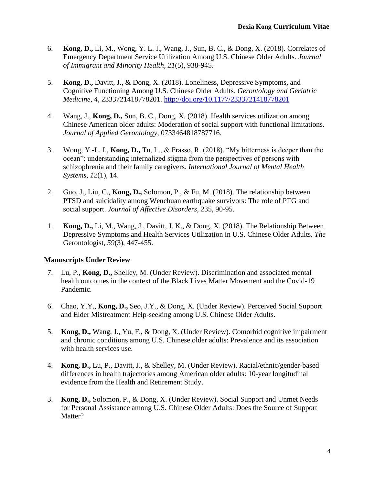- 6. **Kong, D.,** Li, M., Wong, Y. L. I., Wang, J., Sun, B. C., & Dong, X. (2018). Correlates of Emergency Department Service Utilization Among U.S. Chinese Older Adults. *Journal of Immigrant and Minority Health, 21*(5), 938-945.
- 5. **Kong, D.,** Davitt, J., & Dong, X. (2018). Loneliness, Depressive Symptoms, and Cognitive Functioning Among U.S. Chinese Older Adults. *Gerontology and Geriatric Medicine*, *4,* 2333721418778201.<http://doi.org/10.1177/2333721418778201>
- 4. Wang, J., **Kong, D.,** Sun, B. C., Dong, X. (2018). Health services utilization among Chinese American older adults: Moderation of social support with functional limitations. *Journal of Applied Gerontology*, 0733464818787716.
- 3. Wong, Y.-L. I., **Kong, D.,** Tu, L., & Frasso, R. (2018). "My bitterness is deeper than the ocean": understanding internalized stigma from the perspectives of persons with schizophrenia and their family caregivers. *International Journal of Mental Health Systems, 12*(1), 14.
- 2. Guo, J., Liu, C., **Kong, D.,** Solomon, P., & Fu, M. (2018). The relationship between PTSD and suicidality among Wenchuan earthquake survivors: The role of PTG and social support. *Journal of Affective Disorders,* 235, 90-95.
- 1. **Kong, D.,** Li, M., Wang, J., Davitt, J. K., & Dong, X. (2018). The Relationship Between Depressive Symptoms and Health Services Utilization in U.S. Chinese Older Adults. *The*  Gerontologist, *59*(3), 447-455.

## **Manuscripts Under Review**

- 7. Lu, P., **Kong, D.,** Shelley, M. (Under Review). Discrimination and associated mental health outcomes in the context of the Black Lives Matter Movement and the Covid-19 Pandemic.
- 6. Chao, Y.Y., **Kong, D.,** Seo, J.Y., & Dong, X. (Under Review). Perceived Social Support and Elder Mistreatment Help-seeking among U.S. Chinese Older Adults.
- 5. **Kong, D.,** Wang, J., Yu, F., & Dong, X. (Under Review). Comorbid cognitive impairment and chronic conditions among U.S. Chinese older adults: Prevalence and its association with health services use.
- 4. **Kong, D.,** Lu, P., Davitt, J., & Shelley, M. (Under Review). Racial/ethnic/gender-based differences in health trajectories among American older adults: 10-year longitudinal evidence from the Health and Retirement Study.
- 3. **Kong, D.,** Solomon, P., & Dong, X. (Under Review). Social Support and Unmet Needs for Personal Assistance among U.S. Chinese Older Adults: Does the Source of Support Matter?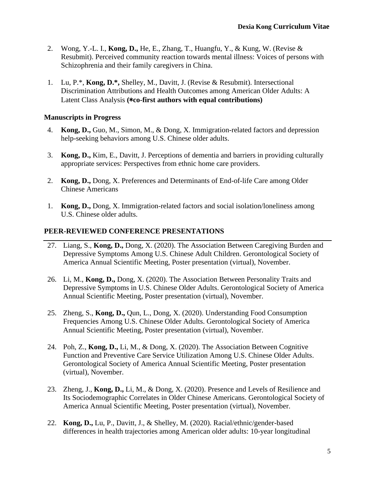- 2. Wong, Y.-L. I., **Kong, D.,** He, E., Zhang, T., Huangfu, Y., & Kung, W. (Revise & Resubmit). Perceived community reaction towards mental illness: Voices of persons with Schizophrenia and their family caregivers in China.
- 1. Lu, P.\*, **Kong, D.\*,** Shelley, M., Davitt, J. (Revise & Resubmit). Intersectional Discrimination Attributions and Health Outcomes among American Older Adults: A Latent Class Analysis **(**\***co-first authors with equal contributions)**

## **Manuscripts in Progress**

- 4. **Kong, D.,** Guo, M., Simon, M., & Dong, X. Immigration-related factors and depression help-seeking behaviors among U.S. Chinese older adults.
- 3. **Kong, D.,** Kim, E., Davitt, J. Perceptions of dementia and barriers in providing culturally appropriate services: Perspectives from ethnic home care providers.
- 2. **Kong, D.,** Dong, X. Preferences and Determinants of End-of-life Care among Older Chinese Americans
- 1. **Kong, D.,** Dong, X. Immigration-related factors and social isolation/loneliness among U.S. Chinese older adults.

## **PEER-REVIEWED CONFERENCE PRESENTATIONS**

- 27. Liang, S., **Kong, D.,** Dong, X. (2020). The Association Between Caregiving Burden and Depressive Symptoms Among U.S. Chinese Adult Children. Gerontological Society of America Annual Scientific Meeting, Poster presentation (virtual), November.
- 26. Li, M., **Kong, D.,** Dong, X. (2020). The Association Between Personality Traits and Depressive Symptoms in U.S. Chinese Older Adults. Gerontological Society of America Annual Scientific Meeting, Poster presentation (virtual), November.
- 25. Zheng, S., **Kong, D.,** Qun, L., Dong, X. (2020). Understanding Food Consumption Frequencies Among U.S. Chinese Older Adults. Gerontological Society of America Annual Scientific Meeting, Poster presentation (virtual), November.
- 24. Poh, Z., **Kong, D.,** Li, M., & Dong, X. (2020). The Association Between Cognitive Function and Preventive Care Service Utilization Among U.S. Chinese Older Adults. Gerontological Society of America Annual Scientific Meeting, Poster presentation (virtual), November.
- 23. Zheng, J., **Kong, D.,** Li, M., & Dong, X. (2020). Presence and Levels of Resilience and Its Sociodemographic Correlates in Older Chinese Americans. Gerontological Society of America Annual Scientific Meeting, Poster presentation (virtual), November.
- 22. **Kong, D.,** Lu, P., Davitt, J., & Shelley, M. (2020). Racial/ethnic/gender-based differences in health trajectories among American older adults: 10-year longitudinal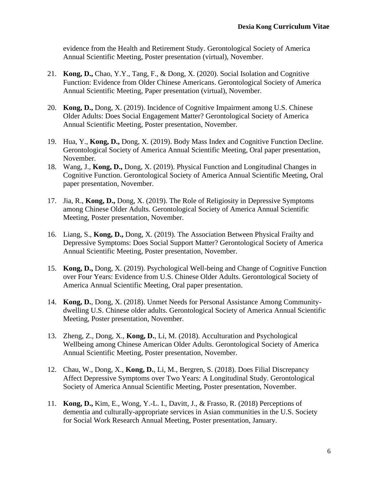evidence from the Health and Retirement Study. Gerontological Society of America Annual Scientific Meeting, Poster presentation (virtual), November.

- 21. **Kong, D.,** Chao, Y.Y., Tang, F., & Dong, X. (2020). Social Isolation and Cognitive Function: Evidence from Older Chinese Americans. Gerontological Society of America Annual Scientific Meeting, Paper presentation (virtual), November.
- 20. **Kong, D.,** Dong, X. (2019). Incidence of Cognitive Impairment among U.S. Chinese Older Adults: Does Social Engagement Matter? Gerontological Society of America Annual Scientific Meeting, Poster presentation, November.
- 19. Hua, Y., **Kong, D.,** Dong, X. (2019). Body Mass Index and Cognitive Function Decline. Gerontological Society of America Annual Scientific Meeting, Oral paper presentation, November.
- 18. Wang, J., **Kong, D.,** Dong, X. (2019). Physical Function and Longitudinal Changes in Cognitive Function. Gerontological Society of America Annual Scientific Meeting, Oral paper presentation, November.
- 17. Jia, R., **Kong, D.,** Dong, X. (2019). The Role of Religiosity in Depressive Symptoms among Chinese Older Adults. Gerontological Society of America Annual Scientific Meeting, Poster presentation, November.
- 16. Liang, S., **Kong, D.,** Dong, X. (2019). The Association Between Physical Frailty and Depressive Symptoms: Does Social Support Matter? Gerontological Society of America Annual Scientific Meeting, Poster presentation, November.
- 15. **Kong, D.,** Dong, X. (2019). Psychological Well-being and Change of Cognitive Function over Four Years: Evidence from U.S. Chinese Older Adults. Gerontological Society of America Annual Scientific Meeting, Oral paper presentation.
- 14. **Kong, D.**, Dong, X. (2018). Unmet Needs for Personal Assistance Among Communitydwelling U.S. Chinese older adults. Gerontological Society of America Annual Scientific Meeting, Poster presentation, November.
- 13. Zheng, Z., Dong, X., **Kong, D.**, Li, M. (2018). Acculturation and Psychological Wellbeing among Chinese American Older Adults. Gerontological Society of America Annual Scientific Meeting, Poster presentation, November.
- 12. Chau, W., Dong, X., **Kong, D.**, Li, M., Bergren, S. (2018). Does Filial Discrepancy Affect Depressive Symptoms over Two Years: A Longitudinal Study. Gerontological Society of America Annual Scientific Meeting, Poster presentation, November.
- 11. **Kong, D.,** Kim, E., Wong, Y.-L. I., Davitt, J., & Frasso, R. (2018) Perceptions of dementia and culturally-appropriate services in Asian communities in the U.S. Society for Social Work Research Annual Meeting, Poster presentation, January.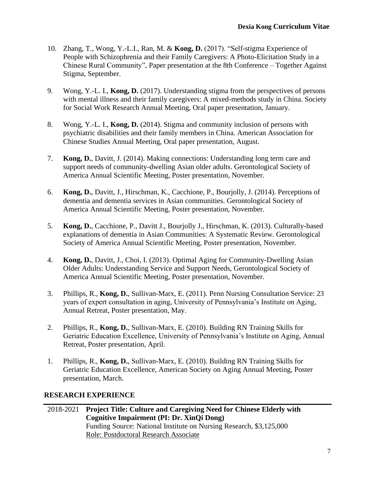- 10. Zhang, T., Wong, Y.-L.I., Ran, M. & **Kong, D.** (2017). "Self-stigma Experience of People with Schizophrenia and their Family Caregivers: A Photo-Elicitation Study in a Chinese Rural Community", Paper presentation at the 8th Conference – Together Against Stigma, September.
- 9. Wong, Y.-L. I., **Kong, D.** (2017). Understanding stigma from the perspectives of persons with mental illness and their family caregivers: A mixed-methods study in China. Society for Social Work Research Annual Meeting, Oral paper presentation, January.
- 8. Wong, Y.-L. I., **Kong, D.** (2014). Stigma and community inclusion of persons with psychiatric disabilities and their family members in China. American Association for Chinese Studies Annual Meeting, Oral paper presentation, August.
- 7. **Kong, D.**, Davitt, J. (2014). Making connections: Understanding long term care and support needs of community-dwelling Asian older adults. Gerontological Society of America Annual Scientific Meeting, Poster presentation, November.
- 6. **Kong, D.**, Davitt, J., Hirschman, K., Cacchione, P., Bourjolly, J. (2014). Perceptions of dementia and dementia services in Asian communities. Gerontological Society of America Annual Scientific Meeting, Poster presentation, November.
- 5. **Kong, D.**, Cacchione, P., Davitt J., Bourjolly J., Hirschman, K. (2013). Culturally-based explanations of dementia in Asian Communities: A Systematic Review. Gerontological Society of America Annual Scientific Meeting, Poster presentation, November.
- 4. **Kong, D.**, Davitt, J., Choi, I. (2013). Optimal Aging for Community-Dwelling Asian Older Adults: Understanding Service and Support Needs, Gerontological Society of America Annual Scientific Meeting, Poster presentation, November.
- 3. Phillips, R., **Kong, D.**, Sullivan-Marx, E. (2011). Penn Nursing Consultation Service: 23 years of expert consultation in aging, University of Pennsylvania's Institute on Aging, Annual Retreat, Poster presentation, May.
- 2. Phillips, R., **Kong, D.**, Sullivan-Marx, E. (2010). Building RN Training Skills for Geriatric Education Excellence, University of Pennsylvania's Institute on Aging, Annual Retreat, Poster presentation, April.
- 1. Phillips, R., **Kong, D.**, Sullivan-Marx, E. (2010). Building RN Training Skills for Geriatric Education Excellence, American Society on Aging Annual Meeting, Poster presentation, March.

# **RESEARCH EXPERIENCE**

2018-2021 **Project Title: Culture and Caregiving Need for Chinese Elderly with Cognitive Impairment (PI: Dr. XinQi Dong)** Funding Source: National Institute on Nursing Research, \$3,125,000 Role: Postdoctoral Research Associate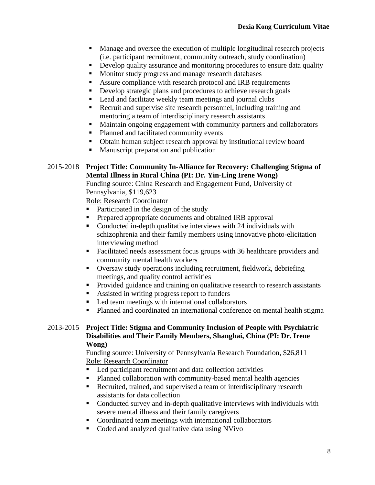- Manage and oversee the execution of multiple longitudinal research projects (i.e. participant recruitment, community outreach, study coordination)
- **•** Develop quality assurance and monitoring procedures to ensure data quality
- Monitor study progress and manage research databases
- Assure compliance with research protocol and IRB requirements
- Develop strategic plans and procedures to achieve research goals
- Lead and facilitate weekly team meetings and journal clubs
- Recruit and supervise site research personnel, including training and mentoring a team of interdisciplinary research assistants
- Maintain ongoing engagement with community partners and collaborators
- Planned and facilitated community events
- Obtain human subject research approval by institutional review board
- Manuscript preparation and publication

#### 2015-2018 **Project Title: Community In-Alliance for Recovery: Challenging Stigma of Mental Illness in Rural China (PI: Dr. Yin-Ling Irene Wong)**

Funding source: China Research and Engagement Fund, University of Pennsylvania, \$119,623

Role: Research Coordinator

- Participated in the design of the study
- **•** Prepared appropriate documents and obtained IRB approval
- Conducted in-depth qualitative interviews with 24 individuals with schizophrenia and their family members using innovative photo-elicitation interviewing method
- Facilitated needs assessment focus groups with 36 healthcare providers and community mental health workers
- Oversaw study operations including recruitment, fieldwork, debriefing meetings, and quality control activities
- **•** Provided guidance and training on qualitative research to research assistants
- Assisted in writing progress report to funders
- Led team meetings with international collaborators
- Planned and coordinated an international conference on mental health stigma

### 2013-2015 **Project Title: Stigma and Community Inclusion of People with Psychiatric Disabilities and Their Family Members, Shanghai, China (PI: Dr. Irene Wong)**

Funding source: University of Pennsylvania Research Foundation, \$26,811 Role: Research Coordinator

- Led participant recruitment and data collection activities
- Planned collaboration with community-based mental health agencies
- Recruited, trained, and supervised a team of interdisciplinary research assistants for data collection
- **•** Conducted survey and in-depth qualitative interviews with individuals with severe mental illness and their family caregivers
- Coordinated team meetings with international collaborators
- Coded and analyzed qualitative data using NVivo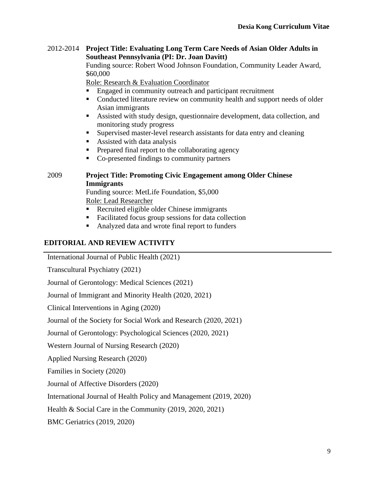#### 2012-2014 **Project Title: Evaluating Long Term Care Needs of Asian Older Adults in Southeast Pennsylvania (PI: Dr. Joan Davitt)**

Funding source: Robert Wood Johnson Foundation, Community Leader Award, \$60,000

Role: Research & Evaluation Coordinator

- Engaged in community outreach and participant recruitment
- **•** Conducted literature review on community health and support needs of older Asian immigrants
- Assisted with study design, questionnaire development, data collection, and monitoring study progress
- Supervised master-level research assistants for data entry and cleaning
- Assisted with data analysis
- **Prepared final report to the collaborating agency**
- Co-presented findings to community partners

### 2009 **Project Title: Promoting Civic Engagement among Older Chinese Immigrants**

Funding source: MetLife Foundation, \$5,000 Role: Lead Researcher

- Recruited eligible older Chinese immigrants
- Facilitated focus group sessions for data collection
- Analyzed data and wrote final report to funders

### **EDITORIAL AND REVIEW ACTIVITY**

International Journal of Public Health (2021)

Transcultural Psychiatry (2021)

Journal of Gerontology: Medical Sciences (2021)

Journal of Immigrant and Minority Health (2020, 2021)

Clinical Interventions in Aging (2020)

Journal of the Society for Social Work and Research (2020, 2021)

Journal of Gerontology: Psychological Sciences (2020, 2021)

Western Journal of Nursing Research (2020)

Applied Nursing Research (2020)

Families in Society (2020)

Journal of Affective Disorders (2020)

International Journal of Health Policy and Management (2019, 2020)

Health & Social Care in the Community (2019, 2020, 2021)

BMC Geriatrics (2019, 2020)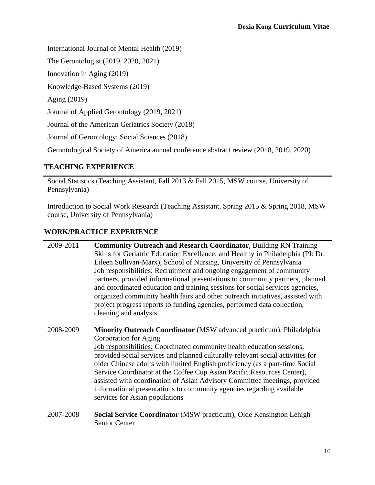International Journal of Mental Health (2019)

The Gerontologist (2019, 2020, 2021)

Innovation in Aging (2019)

Knowledge-Based Systems (2019)

Aging (2019)

Journal of Applied Gerontology (2019, 2021)

Journal of the American Geriatrics Society (2018)

Journal of Gerontology: Social Sciences (2018)

Gerontological Society of America annual conference abstract review (2018, 2019, 2020)

### **TEACHING EXPERIENCE**

Social Statistics (Teaching Assistant, Fall 2013 & Fall 2015, MSW course, University of Pennsylvania)

Introduction to Social Work Research (Teaching Assistant, Spring 2015 & Spring 2018, MSW course, University of Pennsylvania)

# **WORK/PRACTICE EXPERIENCE**

| 2009-2011 | <b>Community Outreach and Research Coordinator</b> , Building RN Training<br>Skills for Geriatric Education Excellence; and Healthy in Philadelphia (PI: Dr.<br>Eileen Sullivan-Marx), School of Nursing, University of Pennsylvania<br>Job responsibilities: Recruitment and ongoing engagement of community<br>partners, provided informational presentations to community partners, planned<br>and coordinated education and training sessions for social services agencies,<br>organized community health fairs and other outreach initiatives, assisted with<br>project progress reports to funding agencies, performed data collection,<br>cleaning and analysis |
|-----------|------------------------------------------------------------------------------------------------------------------------------------------------------------------------------------------------------------------------------------------------------------------------------------------------------------------------------------------------------------------------------------------------------------------------------------------------------------------------------------------------------------------------------------------------------------------------------------------------------------------------------------------------------------------------|
| 2008-2009 | <b>Minority Outreach Coordinator</b> (MSW advanced practicum), Philadelphia<br>Corporation for Aging<br><b>Job responsibilities:</b> Coordinated community health education sessions,<br>provided social services and planned culturally-relevant social activities for<br>older Chinese adults with limited English proficiency (as a part-time Social<br>Service Coordinator at the Coffee Cup Asian Pacific Resources Center),<br>assisted with coordination of Asian Advisory Committee meetings, provided<br>informational presentations to community agencies regarding available<br>services for Asian populations                                              |
| 2007-2008 | Social Service Coordinator (MSW practicum), Olde Kensington Lehigh<br>Senior Center                                                                                                                                                                                                                                                                                                                                                                                                                                                                                                                                                                                    |